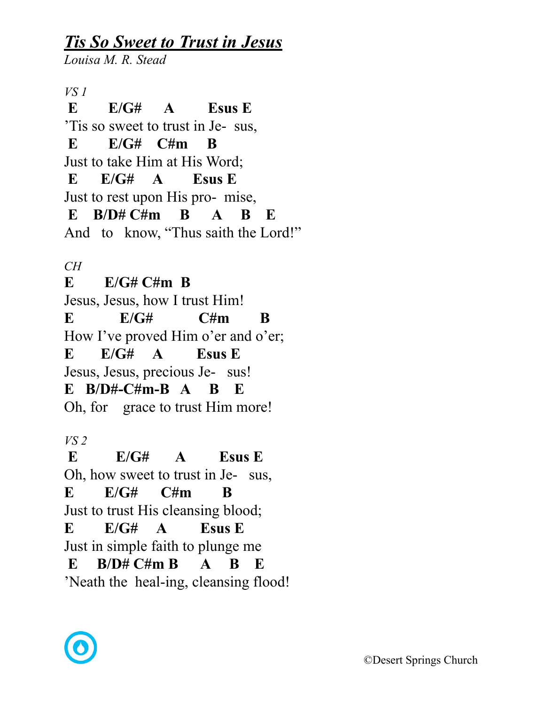## *Tis So Sweet to Trust in Jesus*

*Louisa M. R. Stead* 

*VS 1*   **E E/G# A Esus E**  'Tis so sweet to trust in Je- sus, **E E/G# C#m B** Just to take Him at His Word; **E E/G# A Esus E**  Just to rest upon His pro- mise, **E B/D# C#m B A B E** And to know, "Thus saith the Lord!"

*CH* 

**E E/G# C#m B** Jesus, Jesus, how I trust Him!  $E = E/G#$   $C \# m$   $B$ How I've proved Him o'er and o'er; **E E/G# A Esus E** Jesus, Jesus, precious Je- sus! **E B/D#-C#m-B A B E** Oh, for grace to trust Him more!

*VS 2* 

 **E E/G# A Esus E**  Oh, how sweet to trust in Je- sus, **E E/G# C#m B** Just to trust His cleansing blood; **E E/G# A Esus E** Just in simple faith to plunge me **E B/D# C#m B A B E** 'Neath the heal-ing, cleansing flood!